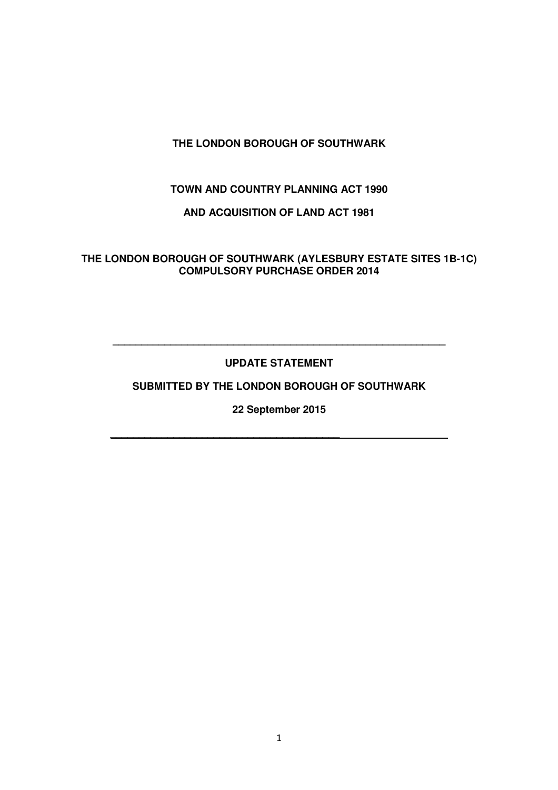# **THE LONDON BOROUGH OF SOUTHWARK**

## **TOWN AND COUNTRY PLANNING ACT 1990**

## **AND ACQUISITION OF LAND ACT 1981**

**THE LONDON BOROUGH OF SOUTHWARK (AYLESBURY ESTATE SITES 1B-1C) COMPULSORY PURCHASE ORDER 2014** 

## **UPDATE STATEMENT**

**\_\_\_\_\_\_\_\_\_\_\_\_\_\_\_\_\_\_\_\_\_\_\_\_\_\_\_\_\_\_\_\_\_\_\_\_\_\_\_\_\_\_\_\_\_\_\_\_\_\_\_\_\_\_\_\_\_\_** 

## **SUBMITTED BY THE LONDON BOROUGH OF SOUTHWARK**

**22 September 2015** 

 $\mathcal{L} = \{ \mathcal{L} = \{ \mathcal{L} \} \cup \{ \mathcal{L} \} \cup \{ \mathcal{L} \} \cup \{ \mathcal{L} \} \cup \{ \mathcal{L} \} \cup \{ \mathcal{L} \} \cup \{ \mathcal{L} \} \cup \{ \mathcal{L} \} \cup \{ \mathcal{L} \} \cup \{ \mathcal{L} \} \cup \{ \mathcal{L} \} \cup \{ \mathcal{L} \} \cup \{ \mathcal{L} \} \cup \{ \mathcal{L} \} \cup \{ \mathcal{L} \} \cup \{ \mathcal{L} \} \cup \{ \mathcal{L} \} \cup$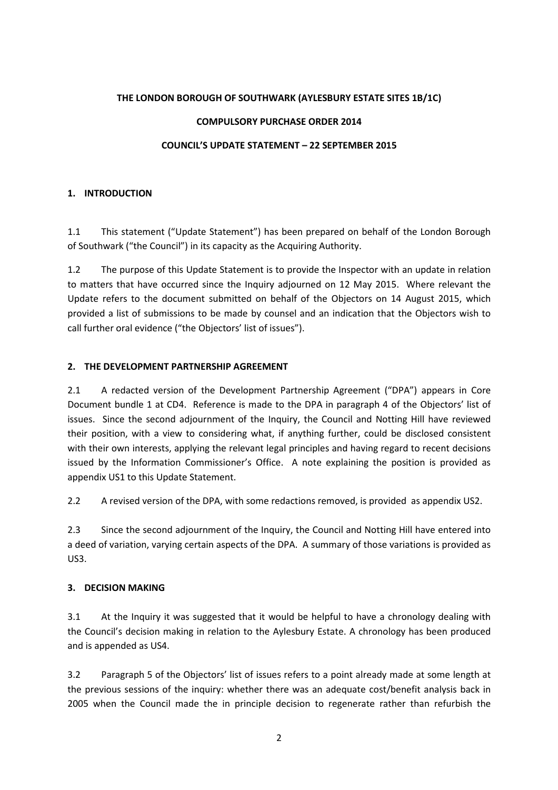#### THE LONDON BOROUGH OF SOUTHWARK (AYLESBURY ESTATE SITES 1B/1C)

#### COMPULSORY PURCHASE ORDER 2014

#### COUNCIL'S UPDATE STATEMENT – 22 SEPTEMBER 2015

#### 1. INTRODUCTION

1.1 This statement ("Update Statement") has been prepared on behalf of the London Borough of Southwark ("the Council") in its capacity as the Acquiring Authority.

1.2 The purpose of this Update Statement is to provide the Inspector with an update in relation to matters that have occurred since the Inquiry adjourned on 12 May 2015. Where relevant the Update refers to the document submitted on behalf of the Objectors on 14 August 2015, which provided a list of submissions to be made by counsel and an indication that the Objectors wish to call further oral evidence ("the Objectors' list of issues").

#### 2. THE DEVELOPMENT PARTNERSHIP AGREEMENT

2.1 A redacted version of the Development Partnership Agreement ("DPA") appears in Core Document bundle 1 at CD4. Reference is made to the DPA in paragraph 4 of the Objectors' list of issues. Since the second adjournment of the Inquiry, the Council and Notting Hill have reviewed their position, with a view to considering what, if anything further, could be disclosed consistent with their own interests, applying the relevant legal principles and having regard to recent decisions issued by the Information Commissioner's Office. A note explaining the position is provided as appendix US1 to this Update Statement.

2.2 A revised version of the DPA, with some redactions removed, is provided as appendix US2.

2.3 Since the second adjournment of the Inquiry, the Council and Notting Hill have entered into a deed of variation, varying certain aspects of the DPA. A summary of those variations is provided as US3.

### 3. DECISION MAKING

3.1 At the Inquiry it was suggested that it would be helpful to have a chronology dealing with the Council's decision making in relation to the Aylesbury Estate. A chronology has been produced and is appended as US4.

3.2 Paragraph 5 of the Objectors' list of issues refers to a point already made at some length at the previous sessions of the inquiry: whether there was an adequate cost/benefit analysis back in 2005 when the Council made the in principle decision to regenerate rather than refurbish the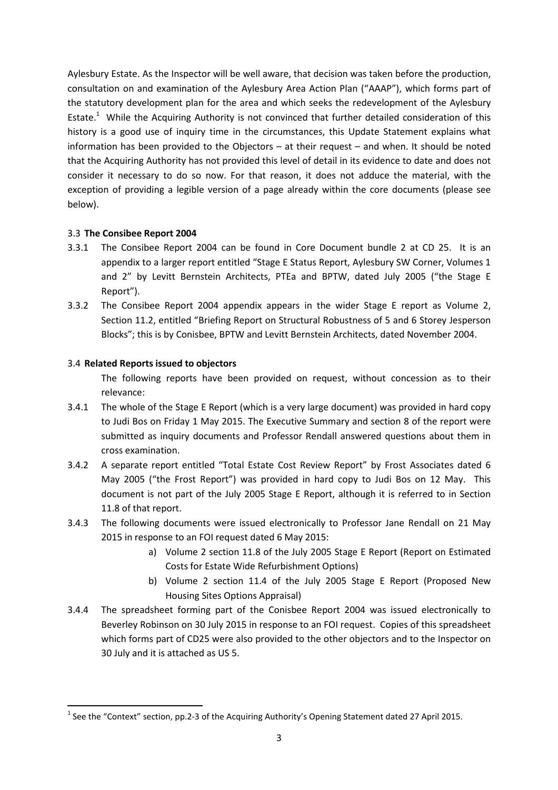Aylesbury Estate. As the Inspector will be well aware, that decision was taken before the production, consultation on and examination of the Aylesbury Area Action Plan ("AAAP"), which forms part of the statutory development plan for the area and which seeks the redevelopment of the Aylesbury Estate.<sup>1</sup> While the Acquiring Authority is not convinced that further detailed consideration of this history is a good use of inquiry time in the circumstances, this Update Statement explains what information has been provided to the Objectors – at their request – and when. It should be noted that the Acquiring Authority has not provided this level of detail in its evidence to date and does not consider it necessary to do so now. For that reason, it does not adduce the material, with the exception of providing a legible version of a page already within the core documents (please see below).

### 3.3 The Consibee Report 2004

- 3.3.1 The Consibee Report 2004 can be found in Core Document bundle 2 at CD 25. It is an appendix to a larger report entitled "Stage E Status Report, Aylesbury SW Corner, Volumes 1 and 2" by Levitt Bernstein Architects, PTEa and BPTW, dated July 2005 ("the Stage E Report").
- 3.3.2 The Consibee Report 2004 appendix appears in the wider Stage E report as Volume 2, Section 11.2, entitled "Briefing Report on Structural Robustness of 5 and 6 Storey Jesperson Blocks"; this is by Conisbee, BPTW and Levitt Bernstein Architects, dated November 2004.

### 3.4 Related Reports issued to objectors

 $\overline{a}$ 

The following reports have been provided on request, without concession as to their relevance:

- 3.4.1 The whole of the Stage E Report (which is a very large document) was provided in hard copy to Judi Bos on Friday 1 May 2015. The Executive Summary and section 8 of the report were submitted as inquiry documents and Professor Rendall answered questions about them in cross examination.
- 3.4.2 A separate report entitled "Total Estate Cost Review Report" by Frost Associates dated 6 May 2005 ("the Frost Report") was provided in hard copy to Judi Bos on 12 May. This document is not part of the July 2005 Stage E Report, although it is referred to in Section 11.8 of that report.
- 3.4.3 The following documents were issued electronically to Professor Jane Rendall on 21 May 2015 in response to an FOI request dated 6 May 2015:
	- a) Volume 2 section 11.8 of the July 2005 Stage E Report (Report on Estimated Costs for Estate Wide Refurbishment Options)
	- b) Volume 2 section 11.4 of the July 2005 Stage E Report (Proposed New Housing Sites Options Appraisal)
- 3.4.4 The spreadsheet forming part of the Conisbee Report 2004 was issued electronically to Beverley Robinson on 30 July 2015 in response to an FOI request. Copies of this spreadsheet which forms part of CD25 were also provided to the other objectors and to the Inspector on 30 July and it is attached as US 5.

<sup>&</sup>lt;sup>1</sup> See the "Context" section, pp.2-3 of the Acquiring Authority's Opening Statement dated 27 April 2015.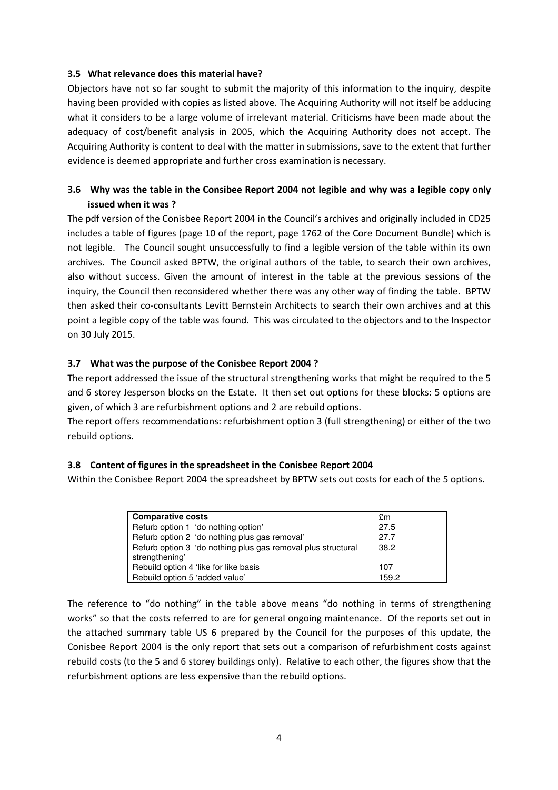#### 3.5 What relevance does this material have?

Objectors have not so far sought to submit the majority of this information to the inquiry, despite having been provided with copies as listed above. The Acquiring Authority will not itself be adducing what it considers to be a large volume of irrelevant material. Criticisms have been made about the adequacy of cost/benefit analysis in 2005, which the Acquiring Authority does not accept. The Acquiring Authority is content to deal with the matter in submissions, save to the extent that further evidence is deemed appropriate and further cross examination is necessary.

## 3.6 Why was the table in the Consibee Report 2004 not legible and why was a legible copy only issued when it was ?

The pdf version of the Conisbee Report 2004 in the Council's archives and originally included in CD25 includes a table of figures (page 10 of the report, page 1762 of the Core Document Bundle) which is not legible. The Council sought unsuccessfully to find a legible version of the table within its own archives. The Council asked BPTW, the original authors of the table, to search their own archives, also without success. Given the amount of interest in the table at the previous sessions of the inquiry, the Council then reconsidered whether there was any other way of finding the table. BPTW then asked their co-consultants Levitt Bernstein Architects to search their own archives and at this point a legible copy of the table was found. This was circulated to the objectors and to the Inspector on 30 July 2015.

### 3.7 What was the purpose of the Conisbee Report 2004 ?

The report addressed the issue of the structural strengthening works that might be required to the 5 and 6 storey Jesperson blocks on the Estate. It then set out options for these blocks: 5 options are given, of which 3 are refurbishment options and 2 are rebuild options.

The report offers recommendations: refurbishment option 3 (full strengthening) or either of the two rebuild options.

### 3.8 Content of figures in the spreadsheet in the Conisbee Report 2004

Within the Conisbee Report 2004 the spreadsheet by BPTW sets out costs for each of the 5 options.

| <b>Comparative costs</b>                                                       | £m   |
|--------------------------------------------------------------------------------|------|
| Refurb option 1 'do nothing option'                                            | 27.5 |
| Refurb option 2 'do nothing plus gas removal'                                  | 27.7 |
| Refurb option 3 'do nothing plus gas removal plus structural<br>strengthening' | 38.2 |
| Rebuild option 4 'like for like basis                                          | 107  |
| Rebuild option 5 'added value'                                                 | 1592 |

The reference to "do nothing" in the table above means "do nothing in terms of strengthening works" so that the costs referred to are for general ongoing maintenance. Of the reports set out in the attached summary table US 6 prepared by the Council for the purposes of this update, the Conisbee Report 2004 is the only report that sets out a comparison of refurbishment costs against rebuild costs (to the 5 and 6 storey buildings only). Relative to each other, the figures show that the refurbishment options are less expensive than the rebuild options.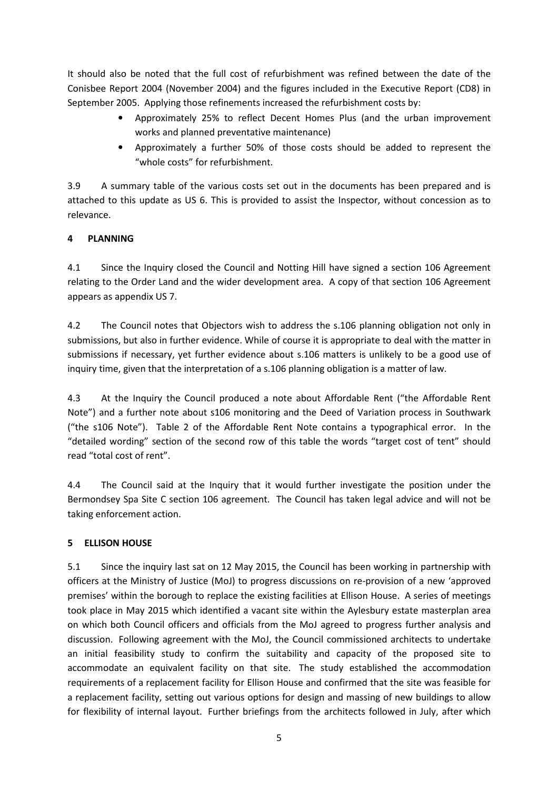It should also be noted that the full cost of refurbishment was refined between the date of the Conisbee Report 2004 (November 2004) and the figures included in the Executive Report (CD8) in September 2005. Applying those refinements increased the refurbishment costs by:

- Approximately 25% to reflect Decent Homes Plus (and the urban improvement works and planned preventative maintenance)
- Approximately a further 50% of those costs should be added to represent the "whole costs" for refurbishment.

3.9 A summary table of the various costs set out in the documents has been prepared and is attached to this update as US 6. This is provided to assist the Inspector, without concession as to relevance.

## 4 PLANNING

4.1 Since the Inquiry closed the Council and Notting Hill have signed a section 106 Agreement relating to the Order Land and the wider development area. A copy of that section 106 Agreement appears as appendix US 7.

4.2 The Council notes that Objectors wish to address the s.106 planning obligation not only in submissions, but also in further evidence. While of course it is appropriate to deal with the matter in submissions if necessary, yet further evidence about s.106 matters is unlikely to be a good use of inquiry time, given that the interpretation of a s.106 planning obligation is a matter of law.

4.3 At the Inquiry the Council produced a note about Affordable Rent ("the Affordable Rent Note") and a further note about s106 monitoring and the Deed of Variation process in Southwark ("the s106 Note"). Table 2 of the Affordable Rent Note contains a typographical error. In the "detailed wording" section of the second row of this table the words "target cost of tent" should read "total cost of rent".

4.4 The Council said at the Inquiry that it would further investigate the position under the Bermondsey Spa Site C section 106 agreement. The Council has taken legal advice and will not be taking enforcement action.

## 5 ELLISON HOUSE

5.1 Since the inquiry last sat on 12 May 2015, the Council has been working in partnership with officers at the Ministry of Justice (MoJ) to progress discussions on re-provision of a new 'approved premises' within the borough to replace the existing facilities at Ellison House. A series of meetings took place in May 2015 which identified a vacant site within the Aylesbury estate masterplan area on which both Council officers and officials from the MoJ agreed to progress further analysis and discussion. Following agreement with the MoJ, the Council commissioned architects to undertake an initial feasibility study to confirm the suitability and capacity of the proposed site to accommodate an equivalent facility on that site. The study established the accommodation requirements of a replacement facility for Ellison House and confirmed that the site was feasible for a replacement facility, setting out various options for design and massing of new buildings to allow for flexibility of internal layout. Further briefings from the architects followed in July, after which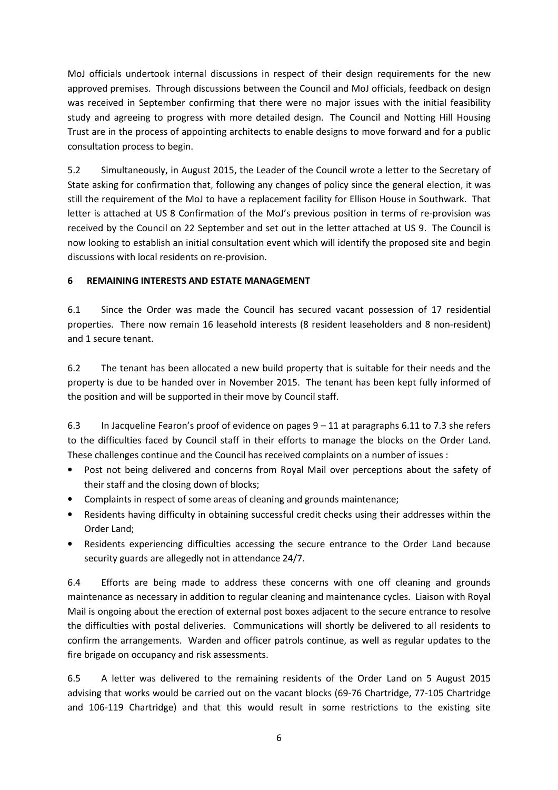MoJ officials undertook internal discussions in respect of their design requirements for the new approved premises. Through discussions between the Council and MoJ officials, feedback on design was received in September confirming that there were no major issues with the initial feasibility study and agreeing to progress with more detailed design. The Council and Notting Hill Housing Trust are in the process of appointing architects to enable designs to move forward and for a public consultation process to begin.

5.2 Simultaneously, in August 2015, the Leader of the Council wrote a letter to the Secretary of State asking for confirmation that, following any changes of policy since the general election, it was still the requirement of the MoJ to have a replacement facility for Ellison House in Southwark. That letter is attached at US 8 Confirmation of the MoJ's previous position in terms of re-provision was received by the Council on 22 September and set out in the letter attached at US 9. The Council is now looking to establish an initial consultation event which will identify the proposed site and begin discussions with local residents on re-provision.

### 6 REMAINING INTERESTS AND ESTATE MANAGEMENT

6.1 Since the Order was made the Council has secured vacant possession of 17 residential properties. There now remain 16 leasehold interests (8 resident leaseholders and 8 non-resident) and 1 secure tenant.

6.2 The tenant has been allocated a new build property that is suitable for their needs and the property is due to be handed over in November 2015. The tenant has been kept fully informed of the position and will be supported in their move by Council staff.

6.3 In Jacqueline Fearon's proof of evidence on pages 9 – 11 at paragraphs 6.11 to 7.3 she refers to the difficulties faced by Council staff in their efforts to manage the blocks on the Order Land. These challenges continue and the Council has received complaints on a number of issues :

- Post not being delivered and concerns from Royal Mail over perceptions about the safety of their staff and the closing down of blocks;
- Complaints in respect of some areas of cleaning and grounds maintenance;
- Residents having difficulty in obtaining successful credit checks using their addresses within the Order Land;
- Residents experiencing difficulties accessing the secure entrance to the Order Land because security guards are allegedly not in attendance 24/7.

6.4 Efforts are being made to address these concerns with one off cleaning and grounds maintenance as necessary in addition to regular cleaning and maintenance cycles. Liaison with Royal Mail is ongoing about the erection of external post boxes adjacent to the secure entrance to resolve the difficulties with postal deliveries. Communications will shortly be delivered to all residents to confirm the arrangements. Warden and officer patrols continue, as well as regular updates to the fire brigade on occupancy and risk assessments.

6.5 A letter was delivered to the remaining residents of the Order Land on 5 August 2015 advising that works would be carried out on the vacant blocks (69-76 Chartridge, 77-105 Chartridge and 106-119 Chartridge) and that this would result in some restrictions to the existing site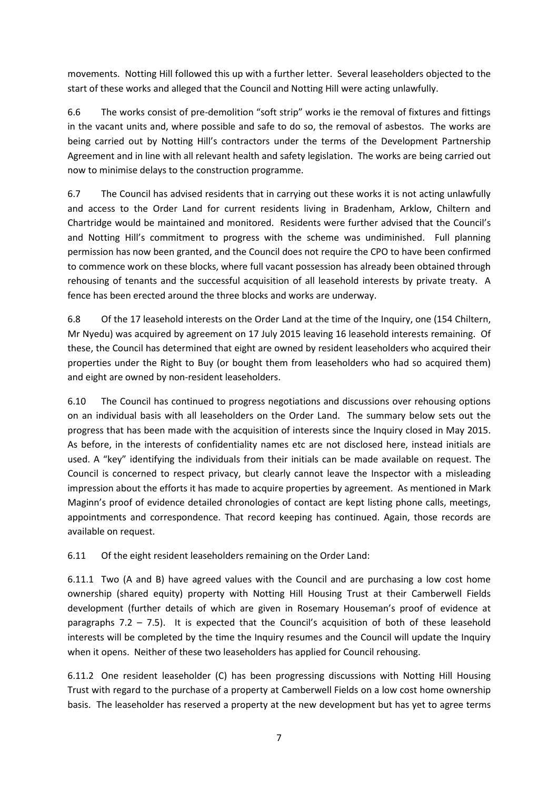movements. Notting Hill followed this up with a further letter. Several leaseholders objected to the start of these works and alleged that the Council and Notting Hill were acting unlawfully.

6.6 The works consist of pre-demolition "soft strip" works ie the removal of fixtures and fittings in the vacant units and, where possible and safe to do so, the removal of asbestos. The works are being carried out by Notting Hill's contractors under the terms of the Development Partnership Agreement and in line with all relevant health and safety legislation. The works are being carried out now to minimise delays to the construction programme.

6.7 The Council has advised residents that in carrying out these works it is not acting unlawfully and access to the Order Land for current residents living in Bradenham, Arklow, Chiltern and Chartridge would be maintained and monitored. Residents were further advised that the Council's and Notting Hill's commitment to progress with the scheme was undiminished. Full planning permission has now been granted, and the Council does not require the CPO to have been confirmed to commence work on these blocks, where full vacant possession has already been obtained through rehousing of tenants and the successful acquisition of all leasehold interests by private treaty. A fence has been erected around the three blocks and works are underway.

6.8 Of the 17 leasehold interests on the Order Land at the time of the Inquiry, one (154 Chiltern, Mr Nyedu) was acquired by agreement on 17 July 2015 leaving 16 leasehold interests remaining. Of these, the Council has determined that eight are owned by resident leaseholders who acquired their properties under the Right to Buy (or bought them from leaseholders who had so acquired them) and eight are owned by non-resident leaseholders.

6.10 The Council has continued to progress negotiations and discussions over rehousing options on an individual basis with all leaseholders on the Order Land. The summary below sets out the progress that has been made with the acquisition of interests since the Inquiry closed in May 2015. As before, in the interests of confidentiality names etc are not disclosed here, instead initials are used. A "key" identifying the individuals from their initials can be made available on request. The Council is concerned to respect privacy, but clearly cannot leave the Inspector with a misleading impression about the efforts it has made to acquire properties by agreement. As mentioned in Mark Maginn's proof of evidence detailed chronologies of contact are kept listing phone calls, meetings, appointments and correspondence. That record keeping has continued. Again, those records are available on request.

6.11 Of the eight resident leaseholders remaining on the Order Land:

6.11.1 Two (A and B) have agreed values with the Council and are purchasing a low cost home ownership (shared equity) property with Notting Hill Housing Trust at their Camberwell Fields development (further details of which are given in Rosemary Houseman's proof of evidence at paragraphs 7.2 – 7.5). It is expected that the Council's acquisition of both of these leasehold interests will be completed by the time the Inquiry resumes and the Council will update the Inquiry when it opens. Neither of these two leaseholders has applied for Council rehousing.

6.11.2 One resident leaseholder (C) has been progressing discussions with Notting Hill Housing Trust with regard to the purchase of a property at Camberwell Fields on a low cost home ownership basis. The leaseholder has reserved a property at the new development but has yet to agree terms